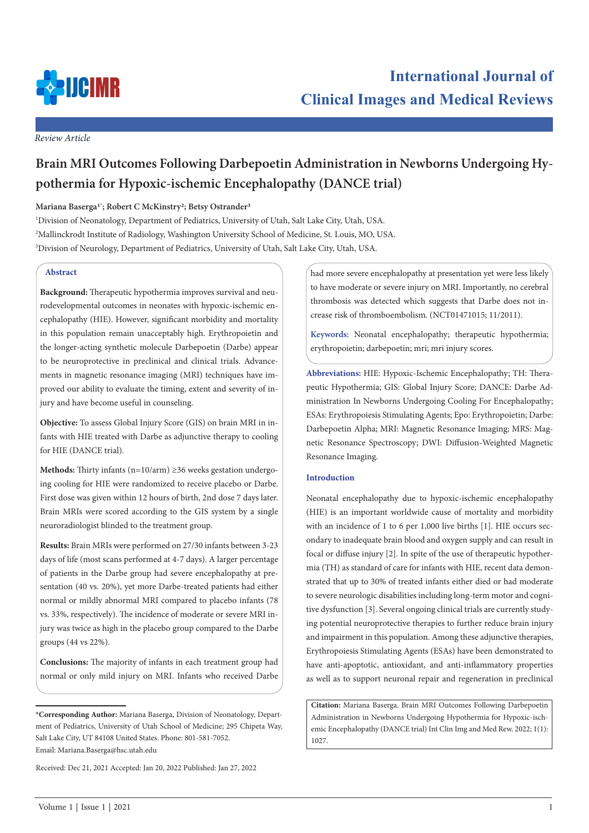

*Review Article*

# **Brain MRI Outcomes Following Darbepoetin Administration in Newborns Undergoing Hypothermia for Hypoxic-ischemic Encephalopathy (DANCE trial)**

# **Mariana Baserga1\* ; Robert C McKinstry2; Betsy Ostrander3**

1 Division of Neonatology, Department of Pediatrics, University of Utah, Salt Lake City, Utah, USA. 2 Mallinckrodt Institute of Radiology, Washington University School of Medicine, St. Louis, MO, USA. 3 Division of Neurology, Department of Pediatrics, University of Utah, Salt Lake City, Utah, USA.

# **Abstract**

**Background:** Therapeutic hypothermia improves survival and neurodevelopmental outcomes in neonates with hypoxic-ischemic encephalopathy (HIE). However, significant morbidity and mortality in this population remain unacceptably high. Erythropoietin and the longer-acting synthetic molecule Darbepoetin (Darbe) appear to be neuroprotective in preclinical and clinical trials. Advancements in magnetic resonance imaging (MRI) techniques have improved our ability to evaluate the timing, extent and severity of injury and have become useful in counseling.

**Objective:** To assess Global Injury Score (GIS) on brain MRI in infants with HIE treated with Darbe as adjunctive therapy to cooling for HIE (DANCE trial).

**Methods:** Thirty infants (n=10/arm) ≥36 weeks gestation undergoing cooling for HIE were randomized to receive placebo or Darbe. First dose was given within 12 hours of birth, 2nd dose 7 days later. Brain MRIs were scored according to the GIS system by a single neuroradiologist blinded to the treatment group.

**Results:** Brain MRIs were performed on 27/30 infants between 3-23 days of life (most scans performed at 4-7 days). A larger percentage of patients in the Darbe group had severe encephalopathy at presentation (40 vs. 20%), yet more Darbe-treated patients had either normal or mildly abnormal MRI compared to placebo infants (78 vs. 33%, respectively). The incidence of moderate or severe MRI injury was twice as high in the placebo group compared to the Darbe groups (44 vs 22%).

**Conclusions:** The majority of infants in each treatment group had normal or only mild injury on MRI. Infants who received Darbe

Received: Dec 21, 2021 Accepted: Jan 20, 2022 Published: Jan 27, 2022

had more severe encephalopathy at presentation yet were less likely to have moderate or severe injury on MRI. Importantly, no cerebral thrombosis was detected which suggests that Darbe does not increase risk of thromboembolism. (NCT01471015; 11/2011).

**Keywords:** Neonatal encephalopathy; therapeutic hypothermia; erythropoietin; darbepoetin; mri; mri injury scores.

**Abbreviations:** HIE: Hypoxic-Ischemic Encephalopathy; TH: Therapeutic Hypothermia; GIS: Global Injury Score; DANCE: Darbe Administration In Newborns Undergoing Cooling For Encephalopathy; ESAs: Erythropoiesis Stimulating Agents; Epo: Erythropoietin; Darbe: Darbepoetin Alpha; MRI: Magnetic Resonance Imaging; MRS: Magnetic Resonance Spectroscopy; DWI: Diffusion-Weighted Magnetic Resonance Imaging.

# **Introduction**

Neonatal encephalopathy due to hypoxic-ischemic encephalopathy (HIE) is an important worldwide cause of mortality and morbidity with an incidence of 1 to 6 per 1,000 live births [1]. HIE occurs secondary to inadequate brain blood and oxygen supply and can result in focal or diffuse injury [2]. In spite of the use of therapeutic hypothermia (TH) as standard of care for infants with HIE, recent data demonstrated that up to 30% of treated infants either died or had moderate to severe neurologic disabilities including long-term motor and cognitive dysfunction [3]. Several ongoing clinical trials are currently studying potential neuroprotective therapies to further reduce brain injury and impairment in this population. Among these adjunctive therapies, Erythropoiesis Stimulating Agents (ESAs) have been demonstrated to have anti-apoptotic, antioxidant, and anti-inflammatory properties as well as to support neuronal repair and regeneration in preclinical

**Citation:** Mariana Baserga. Brain MRI Outcomes Following Darbepoetin Administration in Newborns Undergoing Hypothermia for Hypoxic-ischemic Encephalopathy (DANCE trial) Int Clin Img and Med Rew. 2022; 1(1): 1027.

**<sup>\*</sup>Corresponding Author:** Mariana Baserga, Division of Neonatology, Department of Pediatrics, University of Utah School of Medicine; 295 Chipeta Way, Salt Lake City, UT 84108 United States. Phone: 801-581-7052. Email: Mariana.Baserga@hsc.utah.edu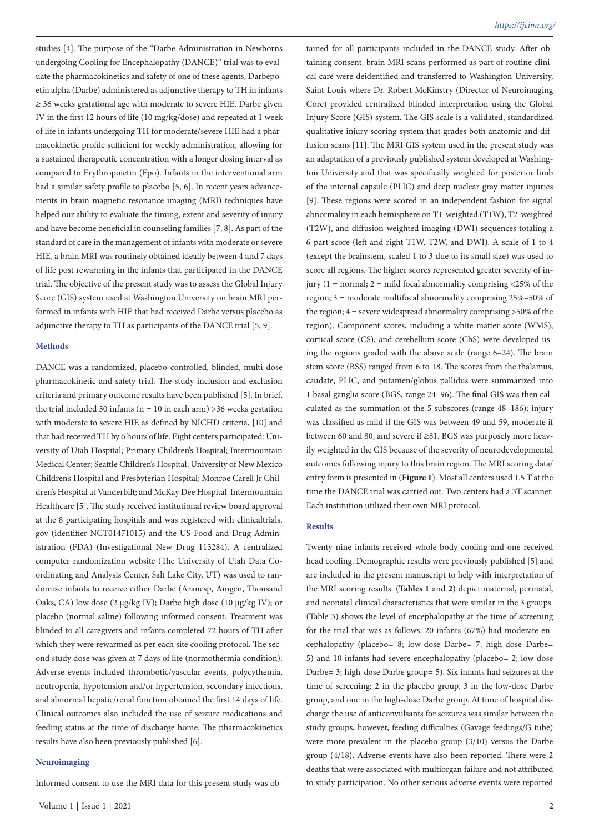studies [4]. The purpose of the "Darbe Administration in Newborns undergoing Cooling for Encephalopathy (DANCE)" trial was to evaluate the pharmacokinetics and safety of one of these agents, Darbepoetin alpha (Darbe) administered as adjunctive therapy to TH in infants ≥ 36 weeks gestational age with moderate to severe HIE. Darbe given IV in the first 12 hours of life (10 mg/kg/dose) and repeated at 1 week of life in infants undergoing TH for moderate/severe HIE had a pharmacokinetic profile sufficient for weekly administration, allowing for a sustained therapeutic concentration with a longer dosing interval as compared to Erythropoietin (Epo). Infants in the interventional arm had a similar safety profile to placebo [5, 6]. In recent years advancements in brain magnetic resonance imaging (MRI) techniques have helped our ability to evaluate the timing, extent and severity of injury and have become beneficial in counseling families [7, 8]. As part of the standard of care in the management of infants with moderate or severe HIE, a brain MRI was routinely obtained ideally between 4 and 7 days of life post rewarming in the infants that participated in the DANCE trial. The objective of the present study was to assess the Global Injury Score (GIS) system used at Washington University on brain MRI performed in infants with HIE that had received Darbe versus placebo as adjunctive therapy to TH as participants of the DANCE trial [5, 9].

## **Methods**

DANCE was a randomized, placebo-controlled, blinded, multi-dose pharmacokinetic and safety trial. The study inclusion and exclusion criteria and primary outcome results have been published [5]. In brief, the trial included 30 infants ( $n = 10$  in each arm) >36 weeks gestation with moderate to severe HIE as defined by NICHD criteria, [10] and that had received TH by 6 hours of life. Eight centers participated: University of Utah Hospital; Primary Children's Hospital; Intermountain Medical Center; Seattle Children's Hospital; University of New Mexico Children's Hospital and Presbyterian Hospital; Monroe Carell Jr Children's Hospital at Vanderbilt; and McKay Dee Hospital-Intermountain Healthcare [5]. The study received institutional review board approval at the 8 participating hospitals and was registered with clinicaltrials. gov (identifier NCT01471015) and the US Food and Drug Administration (FDA) (Investigational New Drug 113284). A centralized computer randomization website (The University of Utah Data Coordinating and Analysis Center, Salt Lake City, UT) was used to randomize infants to receive either Darbe (Aranesp, Amgen, Thousand Oaks, CA) low dose (2 µg/kg IV); Darbe high dose (10 µg/kg IV); or placebo (normal saline) following informed consent. Treatment was blinded to all caregivers and infants completed 72 hours of TH after which they were rewarmed as per each site cooling protocol. The second study dose was given at 7 days of life (normothermia condition). Adverse events included thrombotic/vascular events, polycythemia, neutropenia, hypotension and/or hypertension, secondary infections, and abnormal hepatic/renal function obtained the first 14 days of life. Clinical outcomes also included the use of seizure medications and feeding status at the time of discharge home. The pharmacokinetics results have also been previously published [6].

## **Neuroimaging**

Informed consent to use the MRI data for this present study was ob-

tained for all participants included in the DANCE study. After obtaining consent, brain MRI scans performed as part of routine clinical care were deidentified and transferred to Washington University, Saint Louis where Dr. Robert McKinstry (Director of Neuroimaging Core) provided centralized blinded interpretation using the Global Injury Score (GIS) system. The GIS scale is a validated, standardized qualitative injury scoring system that grades both anatomic and diffusion scans [11]. The MRI GIS system used in the present study was an adaptation of a previously published system developed at Washington University and that was specifically weighted for posterior limb of the internal capsule (PLIC) and deep nuclear gray matter injuries [9]. These regions were scored in an independent fashion for signal abnormality in each hemisphere on T1-weighted (T1W), T2-weighted (T2W), and diffusion-weighted imaging (DWI) sequences totaling a 6-part score (left and right T1W, T2W, and DWI). A scale of 1 to 4 (except the brainstem, scaled 1 to 3 due to its small size) was used to score all regions. The higher scores represented greater severity of injury (1 = normal; 2 = mild focal abnormality comprising <25% of the region; 3 = moderate multifocal abnormality comprising 25%–50% of the region;  $4 =$  severe widespread abnormality comprising  $>50\%$  of the region). Component scores, including a white matter score (WMS), cortical score (CS), and cerebellum score (CbS) were developed using the regions graded with the above scale (range 6–24). The brain stem score (BSS) ranged from 6 to 18. The scores from the thalamus, caudate, PLIC, and putamen/globus pallidus were summarized into 1 basal ganglia score (BGS, range 24–96). The final GIS was then calculated as the summation of the 5 subscores (range 48–186): injury was classified as mild if the GIS was between 49 and 59, moderate if between 60 and 80, and severe if ≥81. BGS was purposely more heavily weighted in the GIS because of the severity of neurodevelopmental outcomes following injury to this brain region. The MRI scoring data/ entry form is presented in (**Figure 1**). Most all centers used 1.5 T at the time the DANCE trial was carried out. Two centers had a 3T scanner. Each institution utilized their own MRI protocol.

#### **Results**

Twenty-nine infants received whole body cooling and one received head cooling. Demographic results were previously published [5] and are included in the present manuscript to help with interpretation of the MRI scoring results. (**Tables 1** and **2**) depict maternal, perinatal, and neonatal clinical characteristics that were similar in the 3 groups. (Table 3) shows the level of encephalopathy at the time of screening for the trial that was as follows: 20 infants (67%) had moderate encephalopathy (placebo= 8; low-dose Darbe= 7; high-dose Darbe= 5) and 10 infants had severe encephalopathy (placebo= 2; low-dose Darbe= 3; high-dose Darbe group= 5). Six infants had seizures at the time of screening: 2 in the placebo group, 3 in the low-dose Darbe group, and one in the high-dose Darbe group. At time of hospital discharge the use of anticonvulsants for seizures was similar between the study groups, however, feeding difficulties (Gavage feedings/G tube) were more prevalent in the placebo group (3/10) versus the Darbe group (4/18). Adverse events have also been reported. There were 2 deaths that were associated with multiorgan failure and not attributed to study participation. No other serious adverse events were reported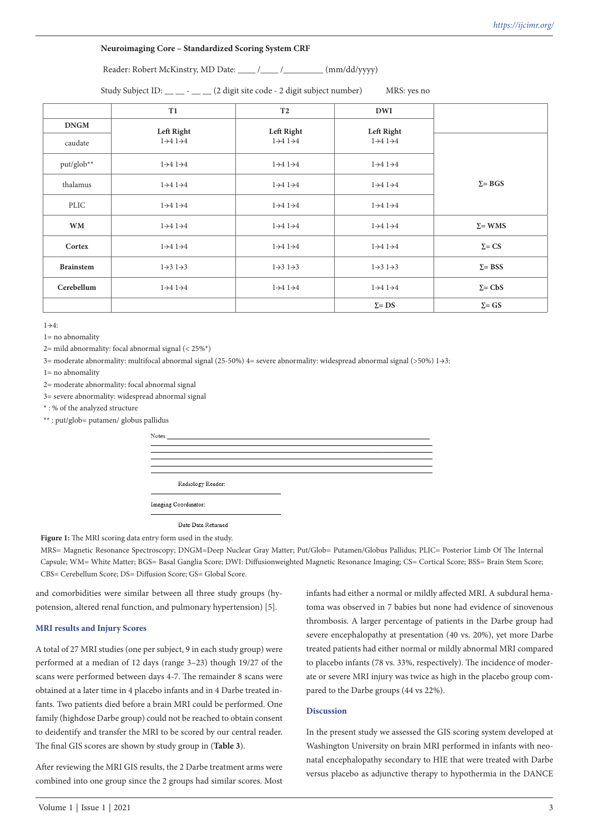# **Neuroimaging Core – Standardized Scoring System CRF**

Reader: Robert McKinstry, MD Date: \_\_\_\_ /\_\_\_\_ /\_\_\_\_\_ (mm/dd/yyyy)

Study Subject ID: \_\_\_ - \_\_ (2 digit site code - 2 digit subject number) MRS: yes no

|                  | T1                                | T <sub>2</sub>                    | <b>DWI</b>                        |                |
|------------------|-----------------------------------|-----------------------------------|-----------------------------------|----------------|
| <b>DNGM</b>      | <b>Left Right</b>                 | Left Right                        | Left Right                        |                |
| caudate          | $1\rightarrow 4$ $1\rightarrow 4$ | $1\rightarrow 4$ $1\rightarrow 4$ | $1\rightarrow 4$ $1\rightarrow 4$ |                |
| put/glob**       | $1\rightarrow 4$ $1\rightarrow 4$ | $1\rightarrow 4$ $1\rightarrow 4$ | $1\rightarrow 4$ $1\rightarrow 4$ |                |
| thalamus         | $1\rightarrow 4$ $1\rightarrow 4$ | $1\rightarrow 4$ $1\rightarrow 4$ | $1\rightarrow 4$ $1\rightarrow 4$ | $\Sigma = BGS$ |
| <b>PLIC</b>      | $1\rightarrow 4$ $1\rightarrow 4$ | $1\rightarrow 4$ $1\rightarrow 4$ | $1\rightarrow 4$ $1\rightarrow 4$ |                |
| <b>WM</b>        | $1\rightarrow 4$ $1\rightarrow 4$ | $1\rightarrow 4$ $1\rightarrow 4$ | $1\rightarrow 4$ $1\rightarrow 4$ | $\Sigma = WMS$ |
| Cortex           | $1\rightarrow 4$ $1\rightarrow 4$ | $1\rightarrow 4$ $1\rightarrow 4$ | $1\rightarrow 4$ $1\rightarrow 4$ | $\Sigma = CS$  |
| <b>Brainstem</b> | $1\rightarrow 3$ $1\rightarrow 3$ | $1\rightarrow 3$ $1\rightarrow 3$ | $1\rightarrow 3$ $1\rightarrow 3$ | $\Sigma = BSS$ |
| Cerebellum       | $1\rightarrow 4$ $1\rightarrow 4$ | $1\rightarrow 4$ $1\rightarrow 4$ | $1\rightarrow 4$ $1\rightarrow 4$ | $\Sigma = CbS$ |
|                  |                                   |                                   | $\Sigma = DS$                     | $\Sigma = GS$  |

 $1\rightarrow4$ 

1= no abnomality

 $2=$  mild abnormality: focal abnormal signal (<  $25\%$ \*)

3= moderate abnormality: multifocal abnormal signal (25-50%) 4= severe abnormality: widespread abnormal signal (>50%) 1→3:

1= no abnomality

2= moderate abnormality: focal abnormal signal

3= severe abnormality: widespread abnormal signal

\* : % of the analyzed structure

\*\* : put/glob= putamen/ globus pallidus

| Radiology Reader:    |  |  |
|----------------------|--|--|
| Imaging Coordinator: |  |  |
|                      |  |  |

Date Data Returned

Figure 1: The MRI scoring data entry form used in the study.

MRS= Magnetic Resonance Spectroscopy; DNGM=Deep Nuclear Gray Matter; Put/Glob= Putamen/Globus Pallidus; PLIC= Posterior Limb Of The Internal Capsule; WM= White Matter; BGS= Basal Ganglia Score; DWI: Diffusionweighted Magnetic Resonance Imaging; CS= Cortical Score; BSS= Brain Stem Score; CBS= Cerebellum Score; DS= Diffusion Score; GS= Global Score.

and comorbidities were similar between all three study groups (hypotension, altered renal function, and pulmonary hypertension) [5].

## **MRI results and Injury Scores**

A total of 27 MRI studies (one per subject, 9 in each study group) were performed at a median of 12 days (range 3–23) though 19/27 of the scans were performed between days 4-7. The remainder 8 scans were obtained at a later time in 4 placebo infants and in 4 Darbe treated infants. Two patients died before a brain MRI could be performed. One family (highdose Darbe group) could not be reached to obtain consent to deidentify and transfer the MRI to be scored by our central reader. The final GIS scores are shown by study group in (**Table 3**).

After reviewing the MRI GIS results, the 2 Darbe treatment arms were combined into one group since the 2 groups had similar scores. Most infants had either a normal or mildly affected MRI. A subdural hematoma was observed in 7 babies but none had evidence of sinovenous thrombosis. A larger percentage of patients in the Darbe group had severe encephalopathy at presentation (40 vs. 20%), yet more Darbe treated patients had either normal or mildly abnormal MRI compared to placebo infants (78 vs. 33%, respectively). The incidence of moderate or severe MRI injury was twice as high in the placebo group compared to the Darbe groups (44 vs 22%).

# **Discussion**

In the present study we assessed the GIS scoring system developed at Washington University on brain MRI performed in infants with neonatal encephalopathy secondary to HIE that were treated with Darbe versus placebo as adjunctive therapy to hypothermia in the DANCE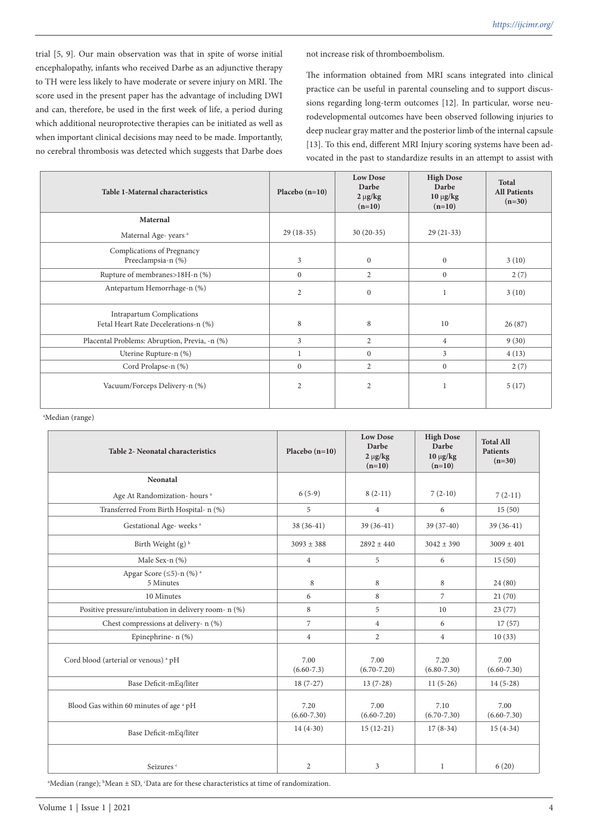trial [5, 9]. Our main observation was that in spite of worse initial encephalopathy, infants who received Darbe as an adjunctive therapy to TH were less likely to have moderate or severe injury on MRI. The score used in the present paper has the advantage of including DWI and can, therefore, be used in the first week of life, a period during which additional neuroprotective therapies can be initiated as well as when important clinical decisions may need to be made. Importantly, no cerebral thrombosis was detected which suggests that Darbe does

not increase risk of thromboembolism.

The information obtained from MRI scans integrated into clinical practice can be useful in parental counseling and to support discussions regarding long-term outcomes [12]. In particular, worse neurodevelopmental outcomes have been observed following injuries to deep nuclear gray matter and the posterior limb of the internal capsule [13]. To this end, different MRI Injury scoring systems have been advocated in the past to standardize results in an attempt to assist with

| Table 1-Maternal characteristics                                         | Placebo $(n=10)$ | <b>Low Dose</b><br>Darbe<br>$2 \mu g/kg$<br>$(n=10)$ | <b>High Dose</b><br>Darbe<br>$10 \mu g/kg$<br>$(n=10)$ | <b>Total</b><br><b>All Patients</b><br>$(n=30)$ |
|--------------------------------------------------------------------------|------------------|------------------------------------------------------|--------------------------------------------------------|-------------------------------------------------|
| Maternal                                                                 |                  |                                                      |                                                        |                                                 |
| Maternal Age-years <sup>a</sup>                                          | $29(18-35)$      | $30(20-35)$                                          | $29(21-33)$                                            |                                                 |
| Complications of Pregnancy<br>Preeclampsia-n (%)                         | 3                | $\mathbf{0}$                                         | $\mathbf{0}$                                           | 3(10)                                           |
| Rupture of membranes>18H-n (%)                                           | $\Omega$         | $\overline{2}$                                       | $\mathbf{0}$                                           | 2(7)                                            |
| Antepartum Hemorrhage-n (%)                                              | 2                | $\boldsymbol{0}$                                     |                                                        | 3(10)                                           |
| <b>Intrapartum Complications</b><br>Fetal Heart Rate Decelerations-n (%) | 8                | 8                                                    | 10                                                     | 26(87)                                          |
| Placental Problems: Abruption, Previa, -n (%)                            | 3                | $\mathbf{2}$                                         | $\overline{4}$                                         | 9(30)                                           |
| Uterine Rupture-n (%)                                                    | 1                | $\mathbf{0}$                                         | 3                                                      | 4(13)                                           |
| Cord Prolapse-n (%)                                                      | $\mathbf{0}$     | $\overline{2}$                                       | $\mathbf{0}$                                           | 2(7)                                            |
| Vacuum/Forceps Delivery-n (%)                                            | $\overline{2}$   | $\overline{c}$                                       |                                                        | 5(17)                                           |

a Median (range)

| <b>Table 2- Neonatal characteristics</b>                    | Placebo $(n=10)$        | <b>Low Dose</b><br>Darbe<br>$2 \mu g/kg$<br>$(n=10)$ | <b>High Dose</b><br>Darbe<br>$10 \mu g/kg$<br>$(n=10)$ | <b>Total All</b><br><b>Patients</b><br>$(n=30)$ |
|-------------------------------------------------------------|-------------------------|------------------------------------------------------|--------------------------------------------------------|-------------------------------------------------|
| Neonatal                                                    |                         |                                                      |                                                        |                                                 |
| Age At Randomization-hours <sup>a</sup>                     | $6(5-9)$                | $8(2-11)$                                            | $7(2-10)$                                              | $7(2-11)$                                       |
| Transferred From Birth Hospital- n (%)                      | 5                       | $\overline{4}$                                       | 6                                                      | 15(50)                                          |
| Gestational Age-weeks <sup>a</sup>                          | $38(36-41)$             | 39 (36-41)                                           | 39 (37-40)                                             | $39(36-41)$                                     |
| Birth Weight (g) <sup>b</sup>                               | $3093 \pm 388$          | $2892 \pm 440$                                       | $3042 \pm 390$                                         | $3009 \pm 401$                                  |
| Male Sex-n (%)                                              | $\overline{4}$          | 5                                                    | 6                                                      | 15(50)                                          |
| Apgar Score $(\leq 5)$ -n $(\% )$ <sup>a</sup><br>5 Minutes | 8                       | 8                                                    | 8                                                      | 24 (80)                                         |
| 10 Minutes                                                  | 6                       | 8                                                    | $\overline{7}$                                         | 21(70)                                          |
| Positive pressure/intubation in delivery room- n (%)        | 8                       | 5                                                    | 10                                                     | 23(77)                                          |
| Chest compressions at delivery- n (%)                       | $\overline{7}$          | $\overline{4}$                                       | 6                                                      | 17(57)                                          |
| Epinephrine- n (%)                                          | $\overline{4}$          | $\overline{2}$                                       | $\overline{4}$                                         | 10(33)                                          |
| Cord blood (arterial or venous) <sup>a</sup> pH             | 7.00<br>$(6.60 - 7.3)$  | 7.00<br>$(6.70 - 7.20)$                              | 7.20<br>$(6.80 - 7.30)$                                | 7.00<br>$(6.60 - 7.30)$                         |
| Base Deficit-mEq/liter                                      | $18(7-27)$              | $13(7-28)$                                           | $11(5-26)$                                             | $14(5-28)$                                      |
| Blood Gas within 60 minutes of age <sup>a</sup> pH          | 7.20<br>$(6.60 - 7.30)$ | 7.00<br>$(6.60 - 7.20)$                              | 7.10<br>$(6.70 - 7.30)$                                | 7.00<br>$(6.60 - 7.30)$                         |
| Base Deficit-mEq/liter                                      | $14(4-30)$              | $15(12-21)$                                          | $17(8-34)$                                             | $15(4-34)$                                      |
| Seizures <sup>c</sup>                                       | 2                       | 3                                                    | 1                                                      | 6(20)                                           |

<sup>a</sup>Median (range); <sup>b</sup>Mean ± SD, 'Data are for these characteristics at time of randomization.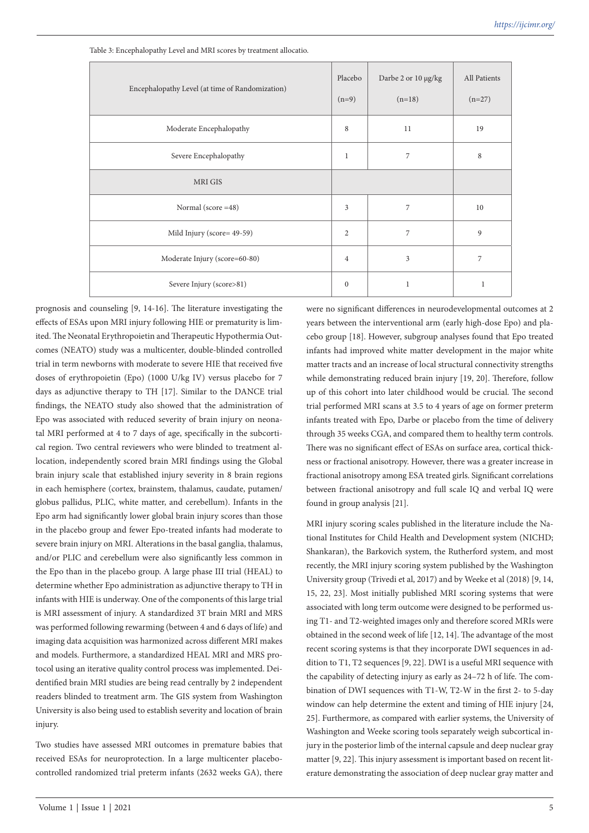| Encephalopathy Level (at time of Randomization) | Placebo<br>$(n=9)$ | Darbe 2 or 10 µg/kg<br>$(n=18)$ | All Patients<br>$(n=27)$ |
|-------------------------------------------------|--------------------|---------------------------------|--------------------------|
| Moderate Encephalopathy                         | 8                  | 11                              | 19                       |
| Severe Encephalopathy                           | $\mathbf{1}$       | 7                               | 8                        |
| MRI GIS                                         |                    |                                 |                          |
| Normal (score = 48)                             | 3                  | 7                               | 10                       |
| Mild Injury (score= 49-59)                      | $\mathfrak{2}$     | 7                               | 9                        |
| Moderate Injury (score=60-80)                   | $\overline{4}$     | 3                               | 7                        |
| Severe Injury (score>81)                        | $\mathbf{0}$       | $\mathbf 1$                     | 1                        |

Table 3: Encephalopathy Level and MRI scores by treatment allocatio.

prognosis and counseling [9, 14-16]. The literature investigating the effects of ESAs upon MRI injury following HIE or prematurity is limited. The Neonatal Erythropoietin and Therapeutic Hypothermia Outcomes (NEATO) study was a multicenter, double-blinded controlled trial in term newborns with moderate to severe HIE that received five doses of erythropoietin (Epo) (1000 U/kg IV) versus placebo for 7 days as adjunctive therapy to TH [17]. Similar to the DANCE trial findings, the NEATO study also showed that the administration of Epo was associated with reduced severity of brain injury on neonatal MRI performed at 4 to 7 days of age, specifically in the subcortical region. Two central reviewers who were blinded to treatment allocation, independently scored brain MRI findings using the Global brain injury scale that established injury severity in 8 brain regions in each hemisphere (cortex, brainstem, thalamus, caudate, putamen/ globus pallidus, PLIC, white matter, and cerebellum). Infants in the Epo arm had significantly lower global brain injury scores than those in the placebo group and fewer Epo-treated infants had moderate to severe brain injury on MRI. Alterations in the basal ganglia, thalamus, and/or PLIC and cerebellum were also significantly less common in the Epo than in the placebo group. A large phase III trial (HEAL) to determine whether Epo administration as adjunctive therapy to TH in infants with HIE is underway. One of the components of this large trial is MRI assessment of injury. A standardized 3T brain MRI and MRS was performed following rewarming (between 4 and 6 days of life) and imaging data acquisition was harmonized across different MRI makes and models. Furthermore, a standardized HEAL MRI and MRS protocol using an iterative quality control process was implemented. Deidentified brain MRI studies are being read centrally by 2 independent readers blinded to treatment arm. The GIS system from Washington University is also being used to establish severity and location of brain injury.

Two studies have assessed MRI outcomes in premature babies that received ESAs for neuroprotection. In a large multicenter placebocontrolled randomized trial preterm infants (2632 weeks GA), there

were no significant differences in neurodevelopmental outcomes at 2 years between the interventional arm (early high-dose Epo) and placebo group [18]. However, subgroup analyses found that Epo treated infants had improved white matter development in the major white matter tracts and an increase of local structural connectivity strengths while demonstrating reduced brain injury [19, 20]. Therefore, follow up of this cohort into later childhood would be crucial. The second trial performed MRI scans at 3.5 to 4 years of age on former preterm infants treated with Epo, Darbe or placebo from the time of delivery through 35 weeks CGA, and compared them to healthy term controls. There was no significant effect of ESAs on surface area, cortical thickness or fractional anisotropy. However, there was a greater increase in fractional anisotropy among ESA treated girls. Significant correlations between fractional anisotropy and full scale IQ and verbal IQ were found in group analysis [21].

MRI injury scoring scales published in the literature include the National Institutes for Child Health and Development system (NICHD; Shankaran), the Barkovich system, the Rutherford system, and most recently, the MRI injury scoring system published by the Washington University group (Trivedi et al, 2017) and by Weeke et al (2018) [9, 14, 15, 22, 23]. Most initially published MRI scoring systems that were associated with long term outcome were designed to be performed using T1- and T2-weighted images only and therefore scored MRIs were obtained in the second week of life [12, 14]. The advantage of the most recent scoring systems is that they incorporate DWI sequences in addition to T1, T2 sequences [9, 22]. DWI is a useful MRI sequence with the capability of detecting injury as early as 24–72 h of life. The combination of DWI sequences with T1-W, T2-W in the first 2- to 5-day window can help determine the extent and timing of HIE injury [24, 25]. Furthermore, as compared with earlier systems, the University of Washington and Weeke scoring tools separately weigh subcortical injury in the posterior limb of the internal capsule and deep nuclear gray matter [9, 22]. This injury assessment is important based on recent literature demonstrating the association of deep nuclear gray matter and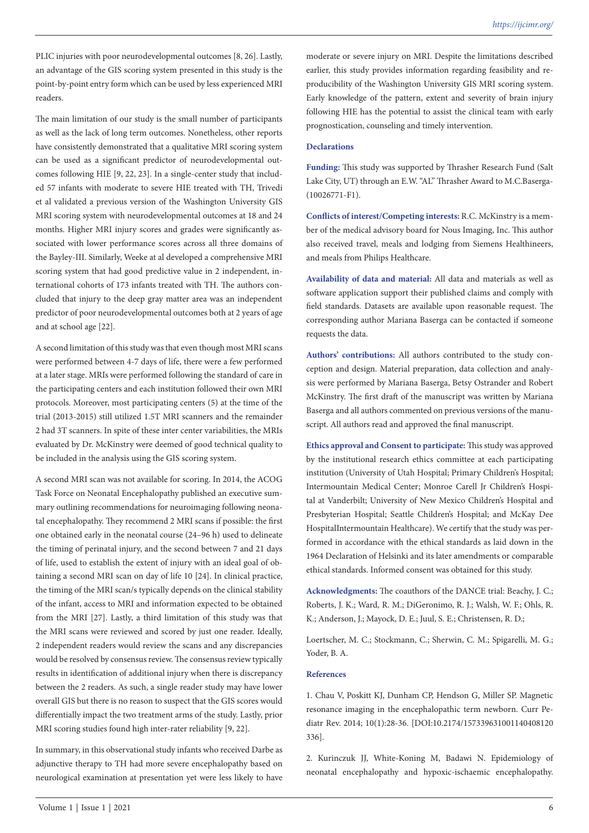PLIC injuries with poor neurodevelopmental outcomes [8, 26]. Lastly, an advantage of the GIS scoring system presented in this study is the point-by-point entry form which can be used by less experienced MRI readers.

The main limitation of our study is the small number of participants as well as the lack of long term outcomes. Nonetheless, other reports have consistently demonstrated that a qualitative MRI scoring system can be used as a significant predictor of neurodevelopmental outcomes following HIE [9, 22, 23]. In a single-center study that included 57 infants with moderate to severe HIE treated with TH, Trivedi et al validated a previous version of the Washington University GIS MRI scoring system with neurodevelopmental outcomes at 18 and 24 months. Higher MRI injury scores and grades were significantly associated with lower performance scores across all three domains of the Bayley-III. Similarly, Weeke at al developed a comprehensive MRI scoring system that had good predictive value in 2 independent, international cohorts of 173 infants treated with TH. The authors concluded that injury to the deep gray matter area was an independent predictor of poor neurodevelopmental outcomes both at 2 years of age and at school age [22].

A second limitation of this study was that even though most MRI scans were performed between 4-7 days of life, there were a few performed at a later stage. MRIs were performed following the standard of care in the participating centers and each institution followed their own MRI protocols. Moreover, most participating centers (5) at the time of the trial (2013-2015) still utilized 1.5T MRI scanners and the remainder 2 had 3T scanners. In spite of these inter center variabilities, the MRIs evaluated by Dr. McKinstry were deemed of good technical quality to be included in the analysis using the GIS scoring system.

A second MRI scan was not available for scoring. In 2014, the ACOG Task Force on Neonatal Encephalopathy published an executive summary outlining recommendations for neuroimaging following neonatal encephalopathy. They recommend 2 MRI scans if possible: the first one obtained early in the neonatal course (24–96 h) used to delineate the timing of perinatal injury, and the second between 7 and 21 days of life, used to establish the extent of injury with an ideal goal of obtaining a second MRI scan on day of life 10 [24]. In clinical practice, the timing of the MRI scan/s typically depends on the clinical stability of the infant, access to MRI and information expected to be obtained from the MRI [27]. Lastly, a third limitation of this study was that the MRI scans were reviewed and scored by just one reader. Ideally, 2 independent readers would review the scans and any discrepancies would be resolved by consensus review. The consensus review typically results in identification of additional injury when there is discrepancy between the 2 readers. As such, a single reader study may have lower overall GIS but there is no reason to suspect that the GIS scores would differentially impact the two treatment arms of the study. Lastly, prior MRI scoring studies found high inter-rater reliability [9, 22].

In summary, in this observational study infants who received Darbe as adjunctive therapy to TH had more severe encephalopathy based on neurological examination at presentation yet were less likely to have moderate or severe injury on MRI. Despite the limitations described earlier, this study provides information regarding feasibility and reproducibility of the Washington University GIS MRI scoring system. Early knowledge of the pattern, extent and severity of brain injury following HIE has the potential to assist the clinical team with early prognostication, counseling and timely intervention.

# **Declarations**

**Funding:** This study was supported by Thrasher Research Fund (Salt Lake City, UT) through an E.W. "AL" Thrasher Award to M.C.Baserga- (10026771-F1).

**Conflicts of interest/Competing interests:** R.C. McKinstry is a member of the medical advisory board for Nous Imaging, Inc. This author also received travel, meals and lodging from Siemens Healthineers, and meals from Philips Healthcare.

**Availability of data and material:** All data and materials as well as software application support their published claims and comply with field standards. Datasets are available upon reasonable request. The corresponding author Mariana Baserga can be contacted if someone requests the data.

**Authors' contributions:** All authors contributed to the study conception and design. Material preparation, data collection and analysis were performed by Mariana Baserga, Betsy Ostrander and Robert McKinstry. The first draft of the manuscript was written by Mariana Baserga and all authors commented on previous versions of the manuscript. All authors read and approved the final manuscript.

**Ethics approval and Consent to participate:** This study was approved by the institutional research ethics committee at each participating institution (University of Utah Hospital; Primary Children's Hospital; Intermountain Medical Center; Monroe Carell Jr Children's Hospital at Vanderbilt; University of New Mexico Children's Hospital and Presbyterian Hospital; Seattle Children's Hospital; and McKay Dee HospitalIntermountain Healthcare). We certify that the study was performed in accordance with the ethical standards as laid down in the 1964 Declaration of Helsinki and its later amendments or comparable ethical standards. Informed consent was obtained for this study.

**Acknowledgments:** The coauthors of the DANCE trial: Beachy, J. C.; Roberts, J. K.; Ward, R. M.; DiGeronimo, R. J.; Walsh, W. F.; Ohls, R. K.; Anderson, J.; Mayock, D. E.; Juul, S. E.; Christensen, R. D.;

Loertscher, M. C.; Stockmann, C.; Sherwin, C. M.; Spigarelli, M. G.; Yoder, B. A.

# **References**

1. Chau V, Poskitt KJ, Dunham CP, Hendson G, Miller SP. Magnetic resonance imaging in the encephalopathic term newborn. Curr Pediatr Rev. 2014; 10(1):28-36. [DOI:10.2174/157339631001140408120 336].

2. Kurinczuk JJ, White-Koning M, Badawi N. Epidemiology of neonatal encephalopathy and hypoxic-ischaemic encephalopathy.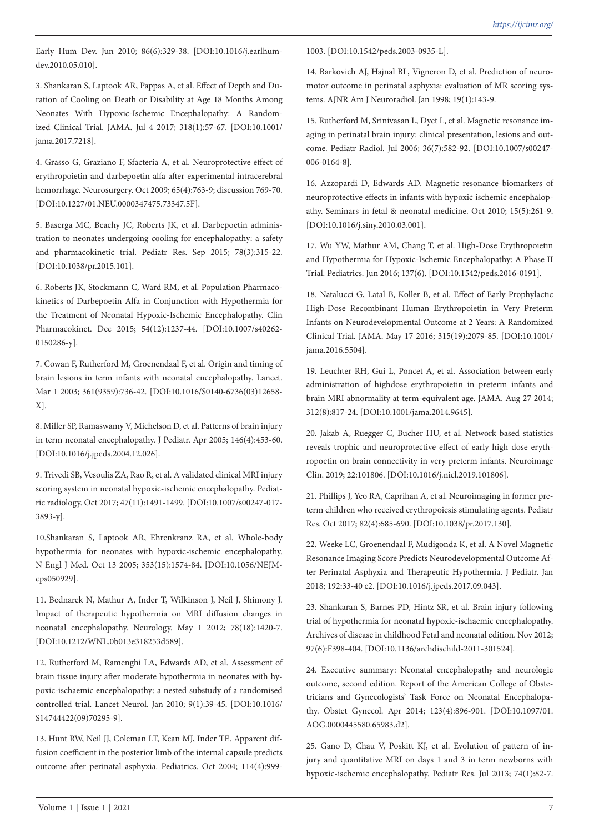Early Hum Dev. Jun 2010; 86(6):329-38. [DOI:10.1016/j.earlhumdev.2010.05.010].

3. Shankaran S, Laptook AR, Pappas A, et al. Effect of Depth and Duration of Cooling on Death or Disability at Age 18 Months Among Neonates With Hypoxic-Ischemic Encephalopathy: A Randomized Clinical Trial. JAMA. Jul 4 2017; 318(1):57-67. [DOI:10.1001/ jama.2017.7218].

4. Grasso G, Graziano F, Sfacteria A, et al. Neuroprotective effect of erythropoietin and darbepoetin alfa after experimental intracerebral hemorrhage. Neurosurgery. Oct 2009; 65(4):763-9; discussion 769-70. [DOI:10.1227/01.NEU.0000347475.73347.5F].

5. Baserga MC, Beachy JC, Roberts JK, et al. Darbepoetin administration to neonates undergoing cooling for encephalopathy: a safety and pharmacokinetic trial. Pediatr Res. Sep 2015; 78(3):315-22. [DOI:10.1038/pr.2015.101].

6. Roberts JK, Stockmann C, Ward RM, et al. Population Pharmacokinetics of Darbepoetin Alfa in Conjunction with Hypothermia for the Treatment of Neonatal Hypoxic-Ischemic Encephalopathy. Clin Pharmacokinet. Dec 2015; 54(12):1237-44. [DOI:10.1007/s40262- 0150286-y].

7. Cowan F, Rutherford M, Groenendaal F, et al. Origin and timing of brain lesions in term infants with neonatal encephalopathy. Lancet. Mar 1 2003; 361(9359):736-42. [DOI:10.1016/S0140-6736(03)12658- X].

8. Miller SP, Ramaswamy V, Michelson D, et al. Patterns of brain injury in term neonatal encephalopathy. J Pediatr. Apr 2005; 146(4):453-60. [DOI:10.1016/j.jpeds.2004.12.026].

9. Trivedi SB, Vesoulis ZA, Rao R, et al. A validated clinical MRI injury scoring system in neonatal hypoxic-ischemic encephalopathy. Pediatric radiology. Oct 2017; 47(11):1491-1499. [DOI:10.1007/s00247-017- 3893-y].

10.Shankaran S, Laptook AR, Ehrenkranz RA, et al. Whole-body hypothermia for neonates with hypoxic-ischemic encephalopathy. N Engl J Med. Oct 13 2005; 353(15):1574-84. [DOI:10.1056/NEJMcps050929].

11. Bednarek N, Mathur A, Inder T, Wilkinson J, Neil J, Shimony J. Impact of therapeutic hypothermia on MRI diffusion changes in neonatal encephalopathy. Neurology. May 1 2012; 78(18):1420-7. [DOI:10.1212/WNL.0b013e318253d589].

12. Rutherford M, Ramenghi LA, Edwards AD, et al. Assessment of brain tissue injury after moderate hypothermia in neonates with hypoxic-ischaemic encephalopathy: a nested substudy of a randomised controlled trial. Lancet Neurol. Jan 2010; 9(1):39-45. [DOI:10.1016/ S14744422(09)70295-9].

13. Hunt RW, Neil JJ, Coleman LT, Kean MJ, Inder TE. Apparent diffusion coefficient in the posterior limb of the internal capsule predicts outcome after perinatal asphyxia. Pediatrics. Oct 2004; 114(4):9991003. [DOI:10.1542/peds.2003-0935-L].

14. Barkovich AJ, Hajnal BL, Vigneron D, et al. Prediction of neuromotor outcome in perinatal asphyxia: evaluation of MR scoring systems. AJNR Am J Neuroradiol. Jan 1998; 19(1):143-9.

15. Rutherford M, Srinivasan L, Dyet L, et al. Magnetic resonance imaging in perinatal brain injury: clinical presentation, lesions and outcome. Pediatr Radiol. Jul 2006; 36(7):582-92. [DOI:10.1007/s00247- 006-0164-8].

16. Azzopardi D, Edwards AD. Magnetic resonance biomarkers of neuroprotective effects in infants with hypoxic ischemic encephalopathy. Seminars in fetal & neonatal medicine. Oct 2010; 15(5):261-9. [DOI:10.1016/j.siny.2010.03.001].

17. Wu YW, Mathur AM, Chang T, et al. High-Dose Erythropoietin and Hypothermia for Hypoxic-Ischemic Encephalopathy: A Phase II Trial. Pediatrics. Jun 2016; 137(6). [DOI:10.1542/peds.2016-0191].

18. Natalucci G, Latal B, Koller B, et al. Effect of Early Prophylactic High-Dose Recombinant Human Erythropoietin in Very Preterm Infants on Neurodevelopmental Outcome at 2 Years: A Randomized Clinical Trial. JAMA. May 17 2016; 315(19):2079-85. [DOI:10.1001/ jama.2016.5504].

19. Leuchter RH, Gui L, Poncet A, et al. Association between early administration of highdose erythropoietin in preterm infants and brain MRI abnormality at term-equivalent age. JAMA. Aug 27 2014; 312(8):817-24. [DOI:10.1001/jama.2014.9645].

20. Jakab A, Ruegger C, Bucher HU, et al. Network based statistics reveals trophic and neuroprotective effect of early high dose erythropoetin on brain connectivity in very preterm infants. Neuroimage Clin. 2019; 22:101806. [DOI:10.1016/j.nicl.2019.101806].

21. Phillips J, Yeo RA, Caprihan A, et al. Neuroimaging in former preterm children who received erythropoiesis stimulating agents. Pediatr Res. Oct 2017; 82(4):685-690. [DOI:10.1038/pr.2017.130].

22. Weeke LC, Groenendaal F, Mudigonda K, et al. A Novel Magnetic Resonance Imaging Score Predicts Neurodevelopmental Outcome After Perinatal Asphyxia and Therapeutic Hypothermia. J Pediatr. Jan 2018; 192:33-40 e2. [DOI:10.1016/j.jpeds.2017.09.043].

23. Shankaran S, Barnes PD, Hintz SR, et al. Brain injury following trial of hypothermia for neonatal hypoxic-ischaemic encephalopathy. Archives of disease in childhood Fetal and neonatal edition. Nov 2012; 97(6):F398-404. [DOI:10.1136/archdischild-2011-301524].

24. Executive summary: Neonatal encephalopathy and neurologic outcome, second edition. Report of the American College of Obstetricians and Gynecologists' Task Force on Neonatal Encephalopathy. Obstet Gynecol. Apr 2014; 123(4):896-901. [DOI:10.1097/01. AOG.0000445580.65983.d2].

25. Gano D, Chau V, Poskitt KJ, et al. Evolution of pattern of injury and quantitative MRI on days 1 and 3 in term newborns with hypoxic-ischemic encephalopathy. Pediatr Res. Jul 2013; 74(1):82-7.